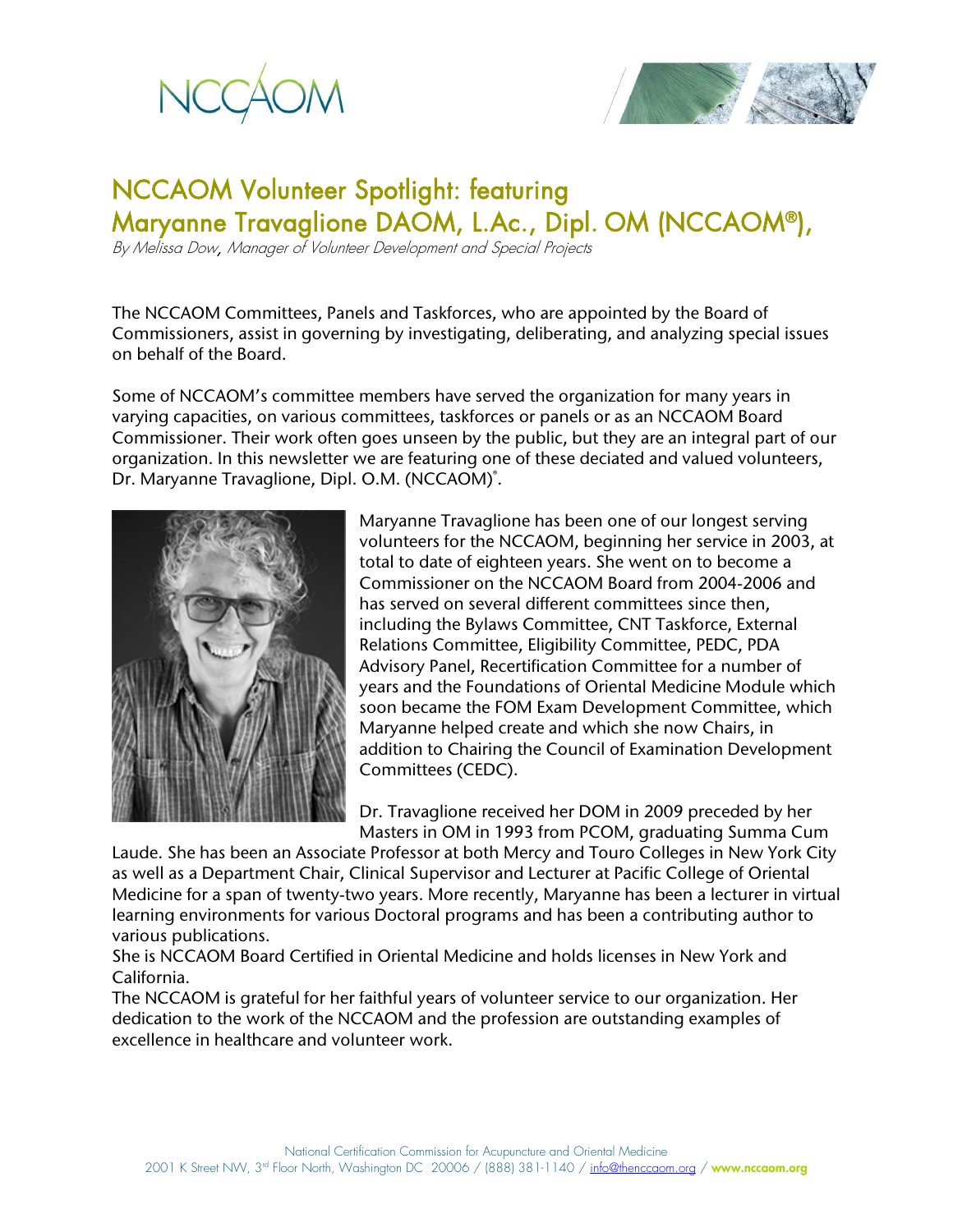



# NCCAOM Volunteer Spotlight: featuring Maryanne Travaglione DAOM, L.Ac., Dipl. OM (NCCAOM®),

By Melissa Dow, Manager of Volunteer Development and Special Projects

The NCCAOM Committees, Panels and Taskforces, who are appointed by the Board of Commissioners, assist in governing by investigating, deliberating, and analyzing special issues on behalf of the Board.

Some of NCCAOM's committee members have served the organization for many years in varying capacities, on various committees, taskforces or panels or as an NCCAOM Board Commissioner. Their work often goes unseen by the public, but they are an integral part of our organization. In this newsletter we are featuring one of these deciated and valued volunteers, Dr. Maryanne Travaglione, Dipl. O.M. (NCCAOM)<sup>°</sup>.



Maryanne Travaglione has been one of our longest serving volunteers for the NCCAOM, beginning her service in 2003, at total to date of eighteen years. She went on to become a Commissioner on the NCCAOM Board from 2004-2006 and has served on several different committees since then, including the Bylaws Committee, CNT Taskforce, External Relations Committee, Eligibility Committee, PEDC, PDA Advisory Panel, Recertification Committee for a number of years and the Foundations of Oriental Medicine Module which soon became the FOM Exam Development Committee, which Maryanne helped create and which she now Chairs, in addition to Chairing the Council of Examination Development Committees (CEDC).

Dr. Travaglione received her DOM in 2009 preceded by her Masters in OM in 1993 from PCOM, graduating Summa Cum

Laude. She has been an Associate Professor at both Mercy and Touro Colleges in New York City as well as a Department Chair, Clinical Supervisor and Lecturer at Pacific College of Oriental Medicine for a span of twenty-two years. More recently, Maryanne has been a lecturer in virtual learning environments for various Doctoral programs and has been a contributing author to various publications.

She is NCCAOM Board Certified in Oriental Medicine and holds licenses in New York and California.

The NCCAOM is grateful for her faithful years of volunteer service to our organization. Her dedication to the work of the NCCAOM and the profession are outstanding examples of excellence in healthcare and volunteer work.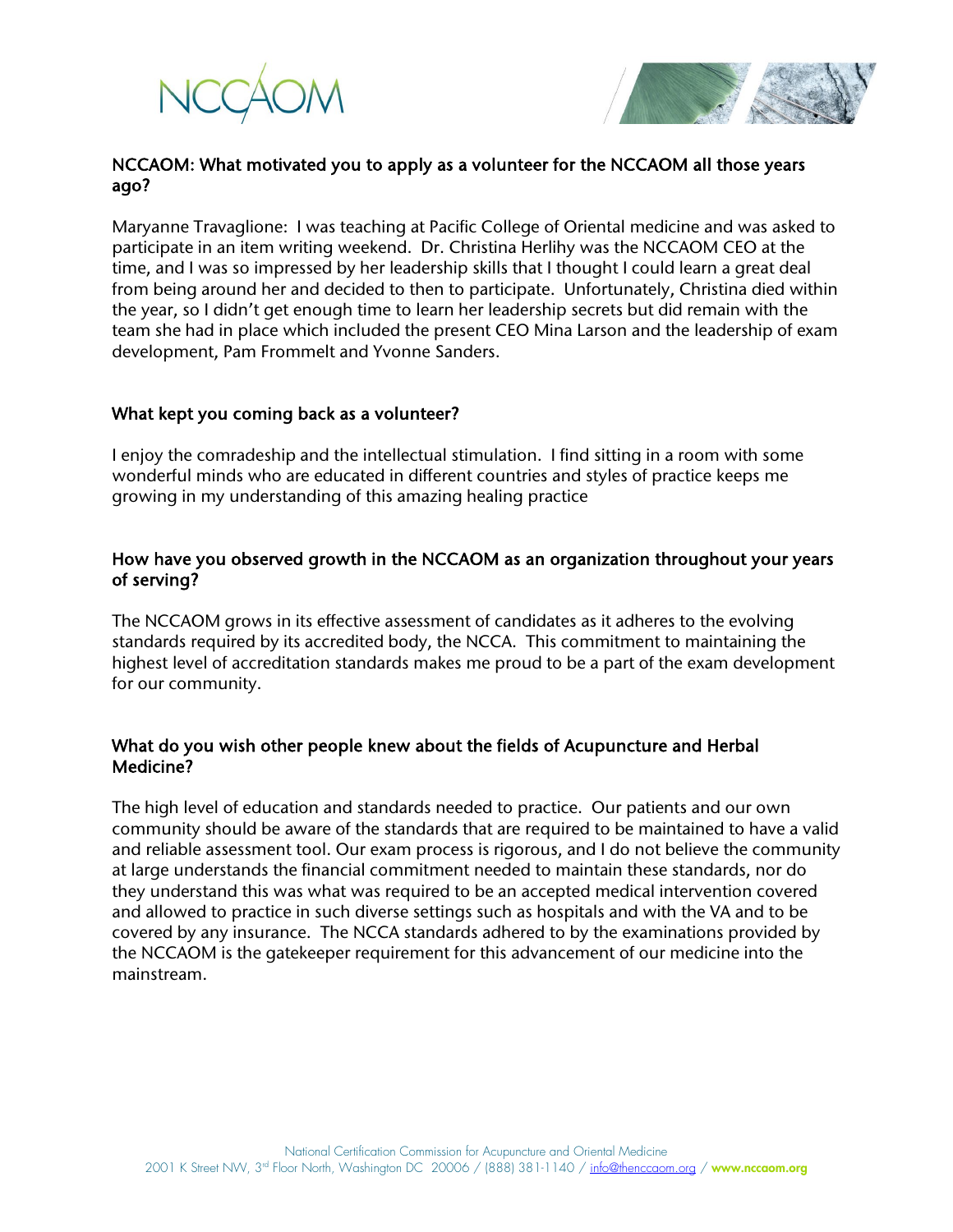



# NCCAOM: What motivated you to apply as a volunteer for the NCCAOM all those years ago?

Maryanne Travaglione: I was teaching at Pacific College of Oriental medicine and was asked to participate in an item writing weekend. Dr. Christina Herlihy was the NCCAOM CEO at the time, and I was so impressed by her leadership skills that I thought I could learn a great deal from being around her and decided to then to participate. Unfortunately, Christina died within the year, so I didn't get enough time to learn her leadership secrets but did remain with the team she had in place which included the present CEO Mina Larson and the leadership of exam development, Pam Frommelt and Yvonne Sanders.

### What kept you coming back as a volunteer?

I enjoy the comradeship and the intellectual stimulation. I find sitting in a room with some wonderful minds who are educated in different countries and styles of practice keeps me growing in my understanding of this amazing healing practice

# How have you observed growth in the NCCAOM as an organization throughout your years of serving?

The NCCAOM grows in its effective assessment of candidates as it adheres to the evolving standards required by its accredited body, the NCCA. This commitment to maintaining the highest level of accreditation standards makes me proud to be a part of the exam development for our community.

# What do you wish other people knew about the fields of Acupuncture and Herbal Medicine?

The high level of education and standards needed to practice. Our patients and our own community should be aware of the standards that are required to be maintained to have a valid and reliable assessment tool. Our exam process is rigorous, and I do not believe the community at large understands the financial commitment needed to maintain these standards, nor do they understand this was what was required to be an accepted medical intervention covered and allowed to practice in such diverse settings such as hospitals and with the VA and to be covered by any insurance. The NCCA standards adhered to by the examinations provided by the NCCAOM is the gatekeeper requirement for this advancement of our medicine into the mainstream.